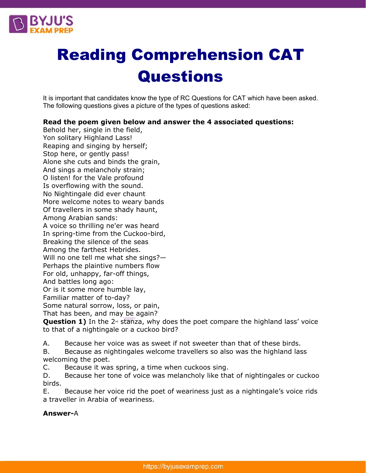

# Reading Comprehension CAT **Questions**

It is important that candidates know the type of RC Questions for CAT which have been asked. The following questions gives a picture of the types of questions asked:

## **Read the poem given below and answer the 4 associated questions:**

Behold her, single in the field, Yon solitary Highland Lass! Reaping and singing by herself; Stop here, or gently pass! Alone she cuts and binds the grain, And sings a melancholy strain; O listen! for the Vale profound Is overflowing with the sound. No Nightingale did ever chaunt More welcome notes to weary bands Of travellers in some shady haunt, Among Arabian sands: A voice so thrilling ne'er was heard In spring-time from the Cuckoo-bird, Breaking the silence of the seas Among the farthest Hebrides. Will no one tell me what she sings?— Perhaps the plaintive numbers flow For old, unhappy, far-off things, And battles long ago: Or is it some more humble lay, Familiar matter of to-day? Some natural sorrow, loss, or pain, That has been, and may be again?

Question 1) In the 2<sup>nd</sup> stanza, why does the poet compare the highland lass' voice to that of a nightingale or a cuckoo bird?

A. Because her voice was as sweet if not sweeter than that of these birds.

B. Because as nightingales welcome travellers so also was the highland lass welcoming the poet.

C. Because it was spring, a time when cuckoos sing.

D. Because her tone of voice was melancholy like that of nightingales or cuckoo birds.

E. Because her voice rid the poet of weariness just as a nightingale's voice rids a traveller in Arabia of weariness.

#### **Answer-**A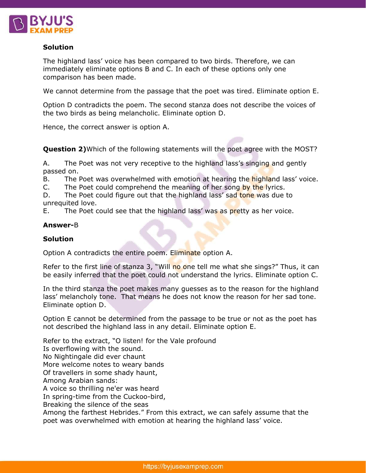

## **Solution**

The highland lass' voice has been compared to two birds. Therefore, we can immediately eliminate options B and C. In each of these options only one comparison has been made.

We cannot determine from the passage that the poet was tired. Eliminate option E.

Option D contradicts the poem. The second stanza does not describe the voices of the two birds as being melancholic. Eliminate option D.

Hence, the correct answer is option A.

**Question 2)**Which of the following statements will the poet agree with the MOST?

A. The Poet was not very receptive to the highland lass's singing and gently passed on.

B. The Poet was overwhelmed with emotion at hearing the highland lass' voice.

C. The Poet could comprehend the meaning of her song by the lyrics.

D. The Poet could figure out that the highland lass' sad tone was due to unrequited love.

E. The Poet could see that the highland lass' was as pretty as her voice.

#### **Answer-**B

## **Solution**

Option A contradicts the entire poem. Eliminate option A.

Refer to the first line of stanza 3, "Will no one tell me what she sings?" Thus, it can be easily inferred that the poet could not understand the lyrics. Eliminate option C.

In the third stanza the poet makes many guesses as to the reason for the highland lass' melancholy tone. That means he does not know the reason for her sad tone. Eliminate option D.

Option E cannot be determined from the passage to be true or not as the poet has not described the highland lass in any detail. Eliminate option E.

Refer to the extract, "O listen! for the Vale profound Is overflowing with the sound. No Nightingale did ever chaunt More welcome notes to weary bands Of travellers in some shady haunt, Among Arabian sands: A voice so thrilling ne'er was heard In spring-time from the Cuckoo-bird, Breaking the silence of the seas Among the farthest Hebrides." From this extract, we can safely assume that the

poet was overwhelmed with emotion at hearing the highland lass' voice.